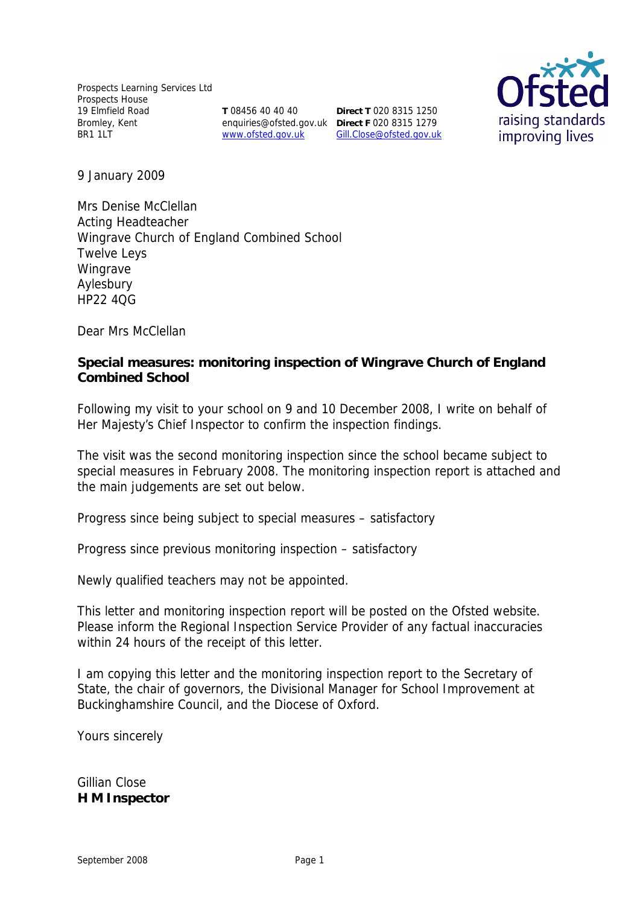Prospects Learning Services Ltd Prospects House 19 Elmfield Road Bromley, Kent BR1 1LT

**T** 08456 40 40 40

enquiries@ofsted.gov.uk **Direct F** 020 8315 1279 www.ofsted.gov.uk Gill.Close@ofsted.gov.uk **Direct T** 020 8315 1250



9 January 2009

Mrs Denise McClellan Acting Headteacher Wingrave Church of England Combined School Twelve Leys Wingrave Aylesbury HP22 4QG

Dear Mrs McClellan

**Special measures: monitoring inspection of Wingrave Church of England Combined School**

Following my visit to your school on 9 and 10 December 2008, I write on behalf of Her Majesty's Chief Inspector to confirm the inspection findings.

The visit was the second monitoring inspection since the school became subject to special measures in February 2008. The monitoring inspection report is attached and the main judgements are set out below.

Progress since being subject to special measures – satisfactory

Progress since previous monitoring inspection – satisfactory

Newly qualified teachers may not be appointed.

This letter and monitoring inspection report will be posted on the Ofsted website. Please inform the Regional Inspection Service Provider of any factual inaccuracies within 24 hours of the receipt of this letter.

I am copying this letter and the monitoring inspection report to the Secretary of State, the chair of governors, the Divisional Manager for School Improvement at Buckinghamshire Council, and the Diocese of Oxford.

Yours sincerely

Gillian Close **H M Inspector**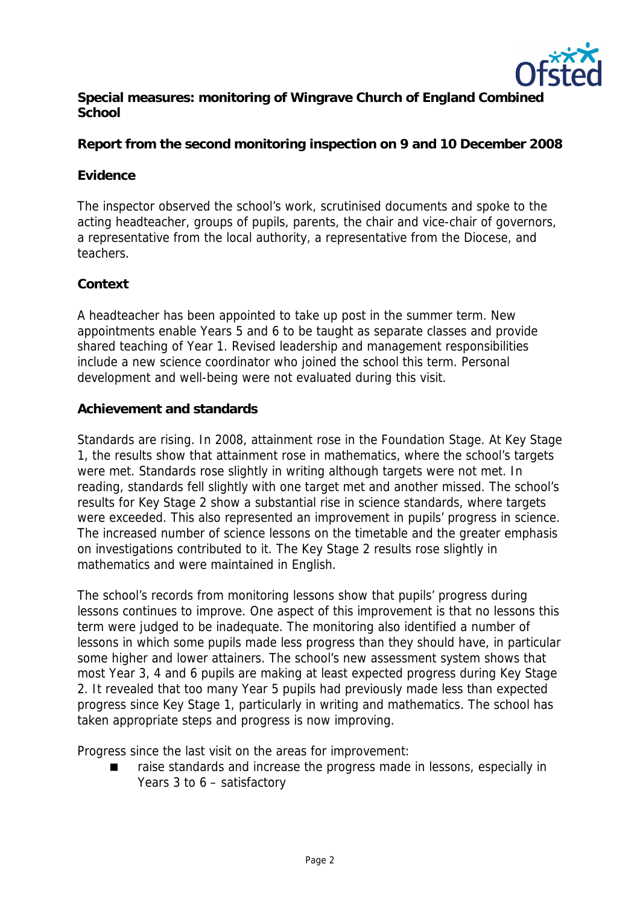

**Special measures: monitoring of Wingrave Church of England Combined School**

**Report from the second monitoring inspection on 9 and 10 December 2008**

#### **Evidence**

The inspector observed the school's work, scrutinised documents and spoke to the acting headteacher, groups of pupils, parents, the chair and vice-chair of governors, a representative from the local authority, a representative from the Diocese, and teachers.

### **Context**

A headteacher has been appointed to take up post in the summer term. New appointments enable Years 5 and 6 to be taught as separate classes and provide shared teaching of Year 1. Revised leadership and management responsibilities include a new science coordinator who joined the school this term. Personal development and well-being were not evaluated during this visit.

### **Achievement and standards**

Standards are rising. In 2008, attainment rose in the Foundation Stage. At Key Stage 1, the results show that attainment rose in mathematics, where the school's targets were met. Standards rose slightly in writing although targets were not met. In reading, standards fell slightly with one target met and another missed. The school's results for Key Stage 2 show a substantial rise in science standards, where targets were exceeded. This also represented an improvement in pupils' progress in science. The increased number of science lessons on the timetable and the greater emphasis on investigations contributed to it. The Key Stage 2 results rose slightly in mathematics and were maintained in English.

The school's records from monitoring lessons show that pupils' progress during lessons continues to improve. One aspect of this improvement is that no lessons this term were judged to be inadequate. The monitoring also identified a number of lessons in which some pupils made less progress than they should have, in particular some higher and lower attainers. The school's new assessment system shows that most Year 3, 4 and 6 pupils are making at least expected progress during Key Stage 2. It revealed that too many Year 5 pupils had previously made less than expected progress since Key Stage 1, particularly in writing and mathematics. The school has taken appropriate steps and progress is now improving.

Progress since the last visit on the areas for improvement:

 raise standards and increase the progress made in lessons, especially in Years 3 to 6 – satisfactory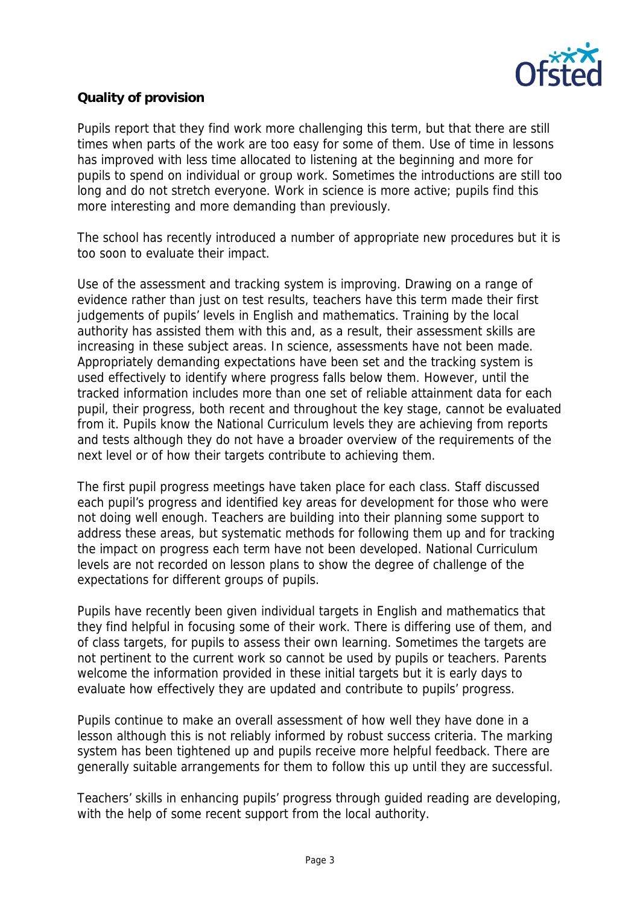

# **Quality of provision**

Pupils report that they find work more challenging this term, but that there are still times when parts of the work are too easy for some of them. Use of time in lessons has improved with less time allocated to listening at the beginning and more for pupils to spend on individual or group work. Sometimes the introductions are still too long and do not stretch everyone. Work in science is more active; pupils find this more interesting and more demanding than previously.

The school has recently introduced a number of appropriate new procedures but it is too soon to evaluate their impact.

Use of the assessment and tracking system is improving. Drawing on a range of evidence rather than just on test results, teachers have this term made their first judgements of pupils' levels in English and mathematics. Training by the local authority has assisted them with this and, as a result, their assessment skills are increasing in these subject areas. In science, assessments have not been made. Appropriately demanding expectations have been set and the tracking system is used effectively to identify where progress falls below them. However, until the tracked information includes more than one set of reliable attainment data for each pupil, their progress, both recent and throughout the key stage, cannot be evaluated from it. Pupils know the National Curriculum levels they are achieving from reports and tests although they do not have a broader overview of the requirements of the next level or of how their targets contribute to achieving them.

The first pupil progress meetings have taken place for each class. Staff discussed each pupil's progress and identified key areas for development for those who were not doing well enough. Teachers are building into their planning some support to address these areas, but systematic methods for following them up and for tracking the impact on progress each term have not been developed. National Curriculum levels are not recorded on lesson plans to show the degree of challenge of the expectations for different groups of pupils.

Pupils have recently been given individual targets in English and mathematics that they find helpful in focusing some of their work. There is differing use of them, and of class targets, for pupils to assess their own learning. Sometimes the targets are not pertinent to the current work so cannot be used by pupils or teachers. Parents welcome the information provided in these initial targets but it is early days to evaluate how effectively they are updated and contribute to pupils' progress.

Pupils continue to make an overall assessment of how well they have done in a lesson although this is not reliably informed by robust success criteria. The marking system has been tightened up and pupils receive more helpful feedback. There are generally suitable arrangements for them to follow this up until they are successful.

Teachers' skills in enhancing pupils' progress through guided reading are developing, with the help of some recent support from the local authority.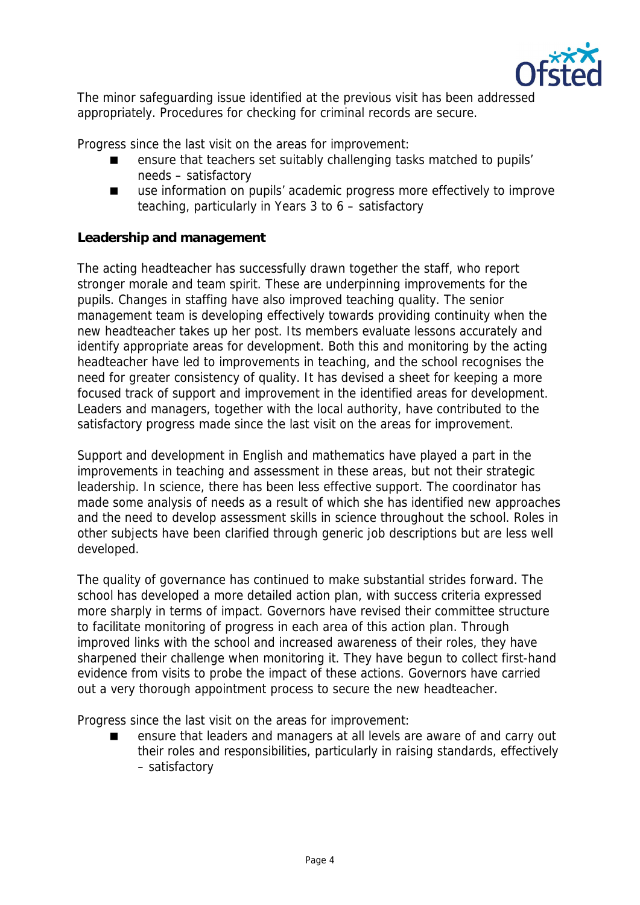

The minor safeguarding issue identified at the previous visit has been addressed appropriately. Procedures for checking for criminal records are secure.

Progress since the last visit on the areas for improvement:

- ensure that teachers set suitably challenging tasks matched to pupils' needs – satisfactory
- use information on pupils' academic progress more effectively to improve teaching, particularly in Years 3 to 6 – satisfactory

### **Leadership and management**

The acting headteacher has successfully drawn together the staff, who report stronger morale and team spirit. These are underpinning improvements for the pupils. Changes in staffing have also improved teaching quality. The senior management team is developing effectively towards providing continuity when the new headteacher takes up her post. Its members evaluate lessons accurately and identify appropriate areas for development. Both this and monitoring by the acting headteacher have led to improvements in teaching, and the school recognises the need for greater consistency of quality. It has devised a sheet for keeping a more focused track of support and improvement in the identified areas for development. Leaders and managers, together with the local authority, have contributed to the satisfactory progress made since the last visit on the areas for improvement.

Support and development in English and mathematics have played a part in the improvements in teaching and assessment in these areas, but not their strategic leadership. In science, there has been less effective support. The coordinator has made some analysis of needs as a result of which she has identified new approaches and the need to develop assessment skills in science throughout the school. Roles in other subjects have been clarified through generic job descriptions but are less well developed.

The quality of governance has continued to make substantial strides forward. The school has developed a more detailed action plan, with success criteria expressed more sharply in terms of impact. Governors have revised their committee structure to facilitate monitoring of progress in each area of this action plan. Through improved links with the school and increased awareness of their roles, they have sharpened their challenge when monitoring it. They have begun to collect first-hand evidence from visits to probe the impact of these actions. Governors have carried out a very thorough appointment process to secure the new headteacher.

Progress since the last visit on the areas for improvement:

 ensure that leaders and managers at all levels are aware of and carry out their roles and responsibilities, particularly in raising standards, effectively – satisfactory